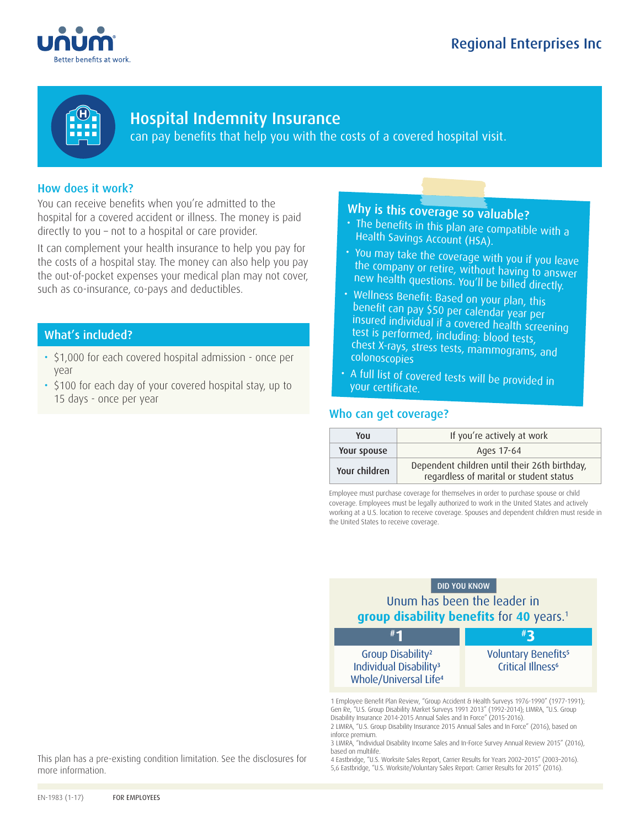



Hospital Indemnity Insurance can pay benefits that help you with the costs of a covered hospital visit.

# How does it work?

You can receive benefits when you're admitted to the hospital for a covered accident or illness. The money is paid directly to you – not to a hospital or care provider.

It can complement your health insurance to help you pay for the costs of a hospital stay. The money can also help you pay the out-of-pocket expenses your medical plan may not cover, such as co-insurance, co-pays and deductibles.

## What's included?

- \$1,000 for each covered hospital admission once per year
- \$100 for each day of your covered hospital stay, up to 15 days - once per year

# Why is this coverage so valuable?

• The benefits in this plan are compatible with a Health Savings Account (HSA).

- You may take the coverage with you if you leave the company or retire, without having to answer new health questions. You'll be billed directly.
- Wellness Benefit: Based on your plan, this benefit can pay \$50 per calendar year per insured individual if a covered health screening test is performed, including: blood tests, chest X-rays, stress tests, mammograms, and colonoscopies
- A full list of covered tests will be provided in your certificate.

## Who can get coverage?

| You           | If you're actively at work                                                               |
|---------------|------------------------------------------------------------------------------------------|
| Your spouse   | Ages 17-64                                                                               |
| Your children | Dependent children until their 26th birthday,<br>regardless of marital or student status |

Employee must purchase coverage for themselves in order to purchase spouse or child coverage. Employees must be legally authorized to work in the United States and actively working at a U.S. location to receive coverage. Spouses and dependent children must reside in the United States to receive coverage.

# DID YOU KNOW Unum has been the leader in **group disability benefits** for **40** years.1



1 Employee Benefit Plan Review, "Group Accident & Health Surveys 1976-1990" (1977-1991); Gen Re, "U.S. Group Disability Market Surveys 1991 2013" (1992-2014); LIMRA, "U.S. Group Disability Insurance 2014-2015 Annual Sales and In Force" (2015-2016).

2 LIMRA, "U.S. Group Disability Insurance 2015 Annual Sales and In Force" (2016), based on inforce premium.

3 LIMRA, "Individual Disability Income Sales and In-Force Survey Annual Review 2015" (2016), based on multilife.

4 Eastbridge, "U.S. Worksite Sales Report, Carrier Results for Years 2002–2015" (2003–2016). 5,6 Eastbridge, "U.S. Worksite/Voluntary Sales Report: Carrier Results for 2015" (2016).

This plan has a pre-existing condition limitation. See the disclosures for more information.